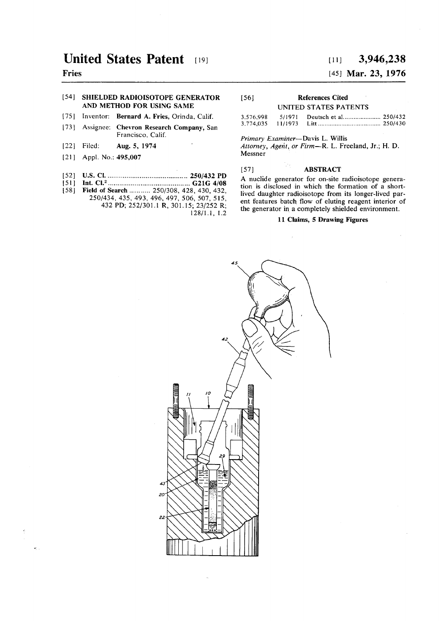# **United States Patent [19]**

## **Fries**

### [54] **SHIELDED RADIOISOTOPE GENERATOR AND METHOD FOR USING SAME**

- [75] Inventor: **Bernard** A. **Fries,** Orinda, Calif.
- [73] Assignee: **Chevron Research Company,** San Francisco, Calif.
- **[22]** Filed: **Aug.** 5, **1974**
- **[21]** Appl. **No.: 495,007**
- 
- [52] **U.S. CI 250/432 PD [51] Int. CI.<sup>2</sup> G21G4/08**
- [58] **Field of Search** ........... 250/308, 428, 430, 432, 250/434, 435, 493, 496, 497, 506, 507, 515, 432 **PD;** 252/301.1 **R,** 301.15; 23/252 R; 128/1**.1,** 1.2

# **[ii] 3,944,825**

## [45] **Mar. 23, 1976**

| $\lceil 56 \rceil$ | <b>References Cited</b> |  |  |
|--------------------|-------------------------|--|--|
|                    | UNITED STATES PATENTS   |  |  |

| 3,576,998 | 5/1971 |  |
|-----------|--------|--|
|           |        |  |

### *Primary Examiner—* **Davis L. Willis**

*Attorney, Agent, or Firm***—R. L. Freeland, Jr.; H. D. Messner** 

### [57] **ABSTRACT**

**A nuclide generator for on-site radioisotope generation is disclosed in which the formation of a shortlived daughter radioisotope from its longer-lived parent features batch flow of eluting reagent interior of the generator in a completely shielded environment.** 

### **11 Claims, 5 Drawing Figures**

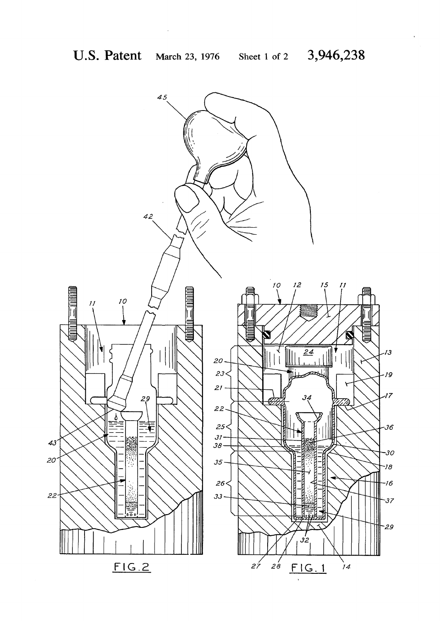$\sim 10^{-1}$ 

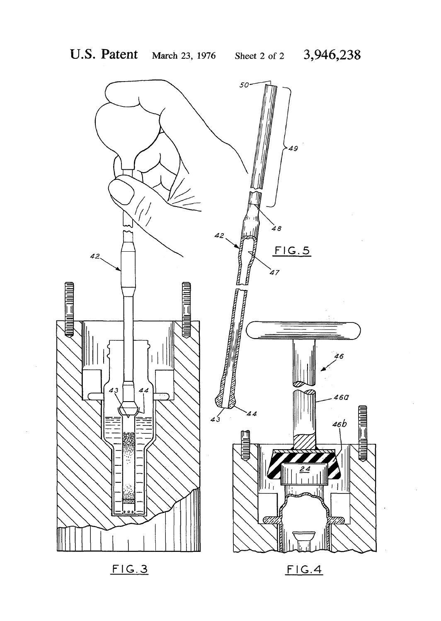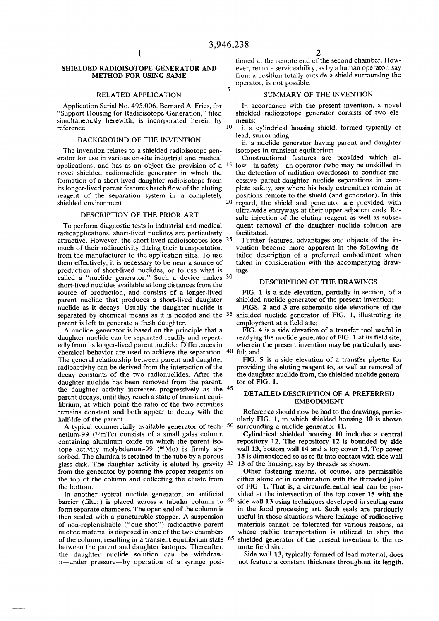$\overline{\mathbf{5}}$ 

### **SHIELDED RADIOISOTOPE GENERATOR AND METHOD FOR USING SAME**

#### **RELATED APPLICATION 5**

**Application Serial No. 495,006, Bernard A. Fries, for "Support Housing for Radioisotope Generation," filed simultaneously herewith, is incorporated herein by reference. 1 0** 

### **BACKGROUND OF THE INVENTION**

**The invention relates to a shielded radioisotope generator for use in various on-site industrial and medical novel shielded radionuclide generator in which the formation of a short-lived daughter radioisotope from its longer-lived parent features batch flow of the eluting reagent of the separation system in a completely shielded environment. 2 0** 

### **DESCRIPTION OF THE PRIOR ART**

**To perform diagnostic tests in industrial and medical radioapplications, short-lived nuclides are particularly attractive. However, the short-lived radioisotopes lose 2 5 much of their radioactivity during their transportation from the manufacturer to the application sites. To use them effectively, it is necessary to be near a source of production of short-lived nuclides, or to use what is called a "nuclide generator." Such a device makes 3 0 short-lived nuclides available at long distances from the source of production, and consists of a longer-lived parent nuclide that produces a short-lived daughter nuclide as it decays. Usually the daughter nuclide is separated by chemical means as it is needed and the 3 5 parent is left to generate a fresh daughter.** 

**A nuclide generator is based on the principle that a daughter nuclide can be separated readily and repeatedly from its longer-lived parent nuclide. Differences in chemical behavior are used to achieve the separation. 40 ful; and The general relationship between parent and daughter radioactivity can be derived from the interaction of the decay constants of the two radionuclides. After the daughter nuclide has been removed from the parent, the daughter activity increases progressively as the 4 5 parent decays, until they reach a state of transient equilibrium, at which point the ratio of the two activities remains constant and both appear to decay with the half-life of the parent.** 

**A typical commercially available generator of tech- 5 0 netium-99 ( 9 9mTc) consists of a small galss column containing aluminum oxide on which the parent iso**tope activity molybdenum-99 (<sup>99</sup>Mo) is firmly ab**sorbed. The alumina is retained in the tube by a porous glass disk. The daughter activity is eluted by gravity 5 5 from the generator by pouring the proper reagents on the top of the column and collecting the eluate from the bottom.** 

**In another typical nuclide generator, an artificial barrier (filter) is placed across a tubular column to 6 0 form separate chambers. The open end of the column is then sealed with a puncturable stopper. A suspension of non-replenishable ("one-shot") radioactive parent nuclide material is disposed in one of the two chambers of the column, resulting in a transient equilibrium state 65 between the parent and daughter isotopes. Thereafter, the daughter nuclide solution can be withdrawn—under pressure—by operation of a syringe posi-**

**2 tioned at the remote end of the second chamber. However, remote serviceability, as by a human operator, say from a position totally outside a shield surroundng the operator, is not possible.** 

### **SUMMARY OF THE INVENTION**

**In accordance with the present invention, a novel shielded radioisotope generator consists of two elements:** 

**i. a cylindrical housing shield, formed typically of lead, surrounding** 

**ii. a nuclide generator having parent and daughter isotopes in transient equilibrium.** 

- **applications, and has as an object the provision of a<sup>1</sup> <sup>5</sup> low—in safety—an operator (who may be unskilled in Constructional features are provided which althe detection of radiation overdoses) to conduct successive parent-daughter nuclide separations in complete safety, say where his body extremities remain at positions remote to the shield (and generator). In this regard, the shield and generator are provided with ultra-wide entryways at their upper adjacent ends. Result: injection of the eluting reagent as well as subsequent removal of the daughter nuclide solution are facilitated.** 
	- **Further features, advantages and objects of the invention become more apparent in the following detailed description of a preferred embodiment when taken in consideration with the accompanying drawings.**

### **DESCRIPTION OF THE DRAWINGS**

**FIG. 1 is a side elevation, partially in section, of a shielded nuclide generator of the present invention;** 

**FIGS. 2 and 3 are schematic side elevations of the shielded nuclide generator of FIG. 1, illustrating its employment at a field site;** 

**FIG. 4 is a side elevation of a transfer tool useful in readying the nuclide generator of FIG. 1 at its field site, wherein the present invention may be particularly use-**

**FIG. 5 is a side elevation of a transfer pipette for providing the eluting reagent to, as well as removal of the daughter nuclide from, the shielded nuclide generator of FIG. 1.** 

### **DETAILED DESCRIPTION OF A PREFERRED EMBODIMENT**

**Reference should now be had to the drawings, particularly FIG. 1, in which shielded housing 10 is shown surrounding a nuclide generator 11.** 

**Cylindrical shielded housing 10 includes a central repository 12. The repository 12 is bounded by side wall 13, bottom wall 14 and a top cover 15. Top cover 15 is dimensioned so as to fit into contact with side wall 13 of the housing, say by threads as shown.** 

**Other fastening means, of course, are permissible either alone or in combination with the threaded joint of FIG. 1. That is, a circumferential seal can be provided at the intersection of the top cover 15 with the side wall 13 using techniques developed in sealing cans in the food processing art. Such seals are particurly useful in those situations where leakage of radioactive materials cannot be tolerated for various reasons, as where public transportation is utilized to ship the shielded generator of the present invention to the remote field site.** 

**Side wall 13, typically formed of lead material, does not feature a constant thickness throughout its length.**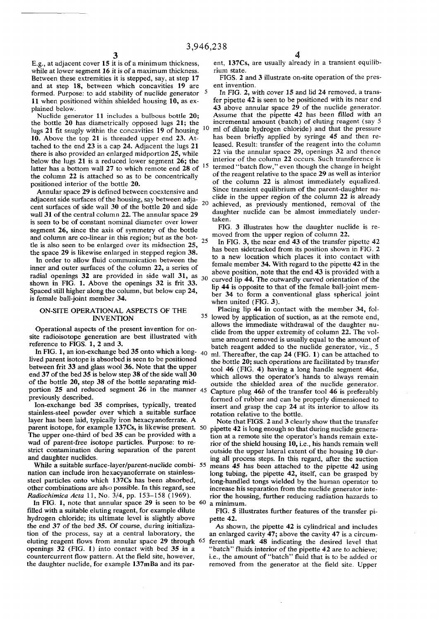while at lower segment 16 it is of a maximum thickness. rium state.<br>Between these extremities it is stepped, say, at step 17 FIGS. 2 and 3 illustrate on-site operation of the pres-**Between these extremities it is stepped, say, at step 17 FIGS. 2 and at step 18.** between which concavities 19 are ent invention. and at step 18, between which concavities 19 are **formed. Purpose: to add stability of nuclide generator 11** when positioned within shielded housing 10, as ex-<br>plained below.

the bottle 20 has diametrically opposed lugs 21; the **lugs 21 fit snugly within the concavities 19 of housing ] 0 10.** Above the top 21 is threaded upper end 23. At-<br>tached to the end 23 is a cap 24. Adjacent the lugs 21 leased. Result: transfer of the reagent into the column tached to the end 23 is a cap 24. Adjacent the lugs 21 **there is also provided an enlarged midportion 25, while below the lugs 21 is a reduced lower segment 26; the interior of the column 22 occurs. Such transference** is latter has a bottom wall 27 to which remote end 28 of <sup>12</sup> **the column 22 is attached so as to be concentrically positioned interior of the bottle 20.**

**Annular space 29 is defined between coextensive and** adjacent side surfaces of the housing, say between adja**cent surfaces of side wall 30 of the bottle 20 and side 2 0** wall 31 of the central column 22. The annular space 29 daughter space taken. is seen to be of constant nominal diameter over lower **segment 26, since the axis of symmetry of the bottle** and column are co-linear in this region; but as the bot**tie is also seen to be enlarged over its midsection 25, 2 5**

**• the space 29 is likewise enlarged in stepped region 38.** In order to allow fluid communication between the inner and outer surfaces of the column 22, a series of **.** above position, note that the end  $\bullet$  is provided with a radial openings 32 are provided in side wall 31, as  $\frac{1}{22}$  curved lip 44. The outwardly curved orientation of the **shown in FIG. 1.** Above the openings  $32$  is frit  $33$ .  $\frac{30}{\ln 44}$  is opposite to that of the female ball-joint mem-Shown in 110. 1. Above the openings  $52^{\circ}$  is  $\ln 35$ . lip 44 is opposite to that of the female ball-joint mem-<br>Spaced still higher along the column, but below cap 24,  $\ln 34$  to form a conventional class spherical join

### **INVENTION 3 5**

In FIG. 1, an ion-exchange bed 35 onto which a long-  $40$  lived parent isotope is absorbed is seen to be positioned lived parent isotope is absorbed is seen to be positioned<br>between frit 33 and glass wool 36. Note that the upper<br>tool 46 (FIG 4) having a long handle segment 46*a* **between frit 33 and glass wool 36.** Note that the upper<br>  $\frac{1}{20}$  and 37 of the bed 35 is below step 38 of the side wall 30<br>
which allows the operator's hands to always remain **end 37 of the bed 35 is below step 38 of the side wall 30** which allows the operator's hands to always remain of the bottle 20, step 38 of the bottle separating mid-<br>outside the shielded area of the nuclide generator of the bottle 20, step 38 of the bottle separating mid-<br>portion 25 and reduced segment 26 in the manner 45 Capture plug 46b of the transfer tool 46 is preferably

Ion-exchange bed 35 comprises, typically, treated<br>
insert and grasp the cap 24 a<br>
indess-steel powder over which a suitable surface<br>
contation relative to the bottle. stainless-steel powder over which a suitable surface layer has been laid, typically iron hexacyanoferrate. A parent isotope, for example 137Cs, is likewise present. 50 **parent isotope, for example 137Cs, is likewise present.** 50 pipette 42 is long enough so that during nuclide genera-<br>The upper one-third of bed 35 can be provided with a strategy of a remote site the operator's hands rema **The upper one-third of bed 35 can be provided with a** tion at a remote site the operator's hands remain exte-<br>wad of parent-free isotope particles. Purpose: to re-<br>ior of the shield housing 10, i.e., his hands remain well wad of parent-free isotope particles. Purpose: to re-<br>*strict* contamination during separation of the parent outside the upper lateral extent of the housing 10 durstrict contamination during separation of the parent outside the upper lateral extent of the housing 10 dur-<br>and daughter nuclides.<br>ing all process steps. In this regard, after the suction

While a suitable surface-layer/parent-nuclide combi- 55 means 45 has been attached to the pipette 42 using nation can include iron hexacyanoferrate on stainless-<br>long tubing, the pipette 42, itself, can be grasped by nation can include iron hexacyanoferrate on stainless-<br>steel particles onto which 137Cs has been absorbed, long-handled tongs wielded by the human operator to steel particles onto which 137Cs has been absorbed, long-handled tongs wielded by the human operator to other combinations are also possible. In this regard, see increase his separation from the nuclide generator inte-

**In FIG. 1, note that annular space 29 is seen to be 60 a minimum,**  filled with a suitable eluting reagent, for example dilute FIG. 5 illustrates further features of the transfer pi**hydrogen chloride; its ultimate level is slightly above pette 42. the end 37 of the bed 35. Of course, during initializa- As shown, the pipette 42 is cylindrical and includes tion of the process, say at a central laboratory, the an enlarged cavity 47; above the cavity 47 is a circumeluting reagent flows from annular space 29 through 65 ferential mark 48 indicating the desired level that openings 32** *(FIG. 1)* **into contact with bed 35 in a "batch" fluids interior of the pipette 42 are to achieve; countercurrent flow pattern. At the field site, however, i.e., the amount of "batch" fluid that is to be added or** 

 $3 \hspace{2.5cm} 4$ **E.g., at adjacent cover 15 it is of a minimum thickness, ent, 137Cs, are usually already in a transient equilib-**

In FIG. 2, with cover 15 and lid 24 removed, a trans-<br>fer pipette 42 is seen to be positioned with its near end lained below.<br>**Nuclide generator 11** includes a bulbous bottle 20; Assume that the pipette 42 has been filled with an Assume that the pipette 42 has been filled with an incremental amount (batch) of eluting reagent (say 5)  **ml of dilute hydrogen chloride) and that the pressure 22** via the annular space 29, openings 32 and thence  **termed "batch flow," even though the change in height o f th e reagent relative to the space 29 as well as interior of the column 22 is almost immediately equalized.** Since transient equilibrium of the parent-daughter nu-<br>clide in the upper region of the column 22 is already  **achieved, as previously mentioned, removal of the** 

> **FIG. 5** illustrates now the daughter nuclide is removed from the upper region of column 22.

In FIG. 3, the near end 43 of the transfer  $\mu$ has been sidetracked from its position shown in FIG. to a new location which places it into contact with **h** regard to the pipette 42 i above position, note that the end 43 is provided with a Spaced still higher along the column, but below cap 24,<br>is female ball-joint member 34.<br>when united (FIG, 3)

**ON-SITE OPERATIONAL ASPECTS OF THE Placing lip 44 in contact with the member 34, fol-**<sup>35</sup> lowed by application of suction, as at the remote end, **Example 10** operational aspects of the present invention for on-<br>
allows the immediate withdrawal of the daughter nu-<br>
operational aspects of the present invention for on-<br>
olide from the upper extremity of eclumn 22. The Operational aspects of the present invention for on-<br>
site radioisotope generation are best illustrated with<br>
we amount removed is usually equal to the amount of site radioisotope generation are best illustrated with ume amount removed is usually equal to the amount of reference to FIGS. 1, 2 and 3. **batch reagent added to the nuclide generator, viz., 5** ml. Thereafter, the cap 24 (FIG. 1) can be attached to **portion 25 and reduced segment 26 in the manner 45 Capture plug 46b of the transfer tool 46 is preferably previously described.** formed of rubber and can be properly dimensioned to insert and grasp the cap 24 at its interior to allow its

 **FIGS. 2 and 3 clearly show that the transfer**  and daughter nuclides.<br>While a suitable surface-layer/parent-nuclide combi- 55 means 45 has been attached to the pipette 42 using other combinations are also possible. In this regard, see increase his separation from the nuclide generator inte-<br>Radiochimica Acta 11, No. 3/4, pp. 153–158 (1969). rior the housing, further reducing radiation hazards to *Radiochimica Acta* **11, No.** 3/4, **pp.** 153-158 **(1969). rior the housing, further reducing radiation hazards to** 

**the daughter nuclide, for example 137mBa and its par- removed from the generator at the field site. Upper**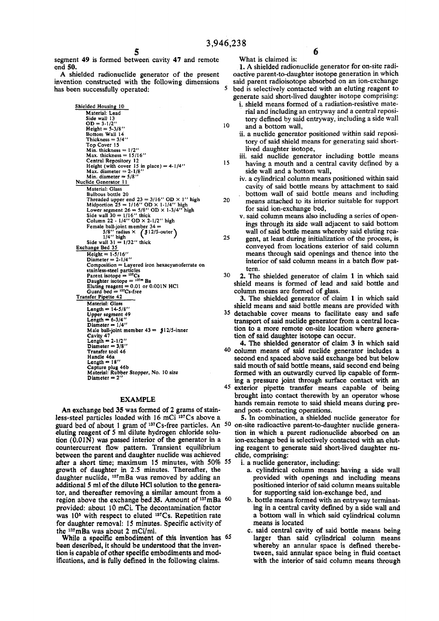10

 $\overline{\mathbf{S}}$ 

**15** 

20

**segment 49 is formed between cavity 47 and remote end 50.** 

**A shielded radionuclide generator of the present invention constructed with the following dimensions has been successfully operated:** 

> Shielded Housing 10 Material: Lead<br>Side wall 13<br>OD = 3-1/2"<br>Height = 5-3/8" Bottom Wall 14 Thickness  $= 3/4'$ Top Cover 15 Min. thickness = 1/2" Max. thickness = 15/16 " Central Repository 12<br>Height (with cover 15 in place) = 4-1/4''<br>Max. diameter =  $2 \cdot 1/8$ ''<br>Min. diameter = 5/8'' Nuclide Generator 11 Material: Glass Bulbous bottle 20 Threaded upper end  $23 = 3/16''$  OD X 1'' high<br>
> Midportion 25 = 1/16" OD X 1-1/4" high<br>
> Lower segment 26 = 5/8" OD X 1-3/4" high<br>
> Side wall 30 = 1/16" thick<br>
> Column 22 - 1/4" OD X 2-1/2" high Female ball-joint member  $34 = 5/8$ " radius  $\times$  ( $$12/5$ -outer)<br>  $1/4$ " high<br>Side wall  $31 = 1/32$ " thick<br>
> Exchange Bed 35 Height =  $1-5/16$ " Diameter  $= 2-1/4$ " Composition = Layered iron hexacyanoferrate on stainless-steel particles<br>
> Parent isotope =  $^{137}Cs$ <br>
> Daughter isotope =  $^{137}Ba$ <br>
> Eluting reagent = 0.01 or 0.001N HCl<br>
> Guard bed =  $^{137}Cs$ -free<br>
> Transfer Pipette 42  $Materal: Glass$ <br>Length =  $14-5/8"$ Upper segment 49 Length - 6-3/4 " Diameter = 1/4" Male ball-joint member  $43 = 312/5$ -inner Cavity 47 Length = 2-1/2" Diameter = 3/8 " Transfer tool 46 Handle 46a Length = 18 " Captur e plug 46b Material: Rubbe r Stopper, No. 10 size Diameter  $= 2'$

### **EXAMPLE**

**An exchange bed 35 was formed of 2 grams of stain**less-steel particles loaded with 16 mCi <sup>137</sup>Cs above a **guard bed of about 1 gram of <sup>137</sup>Cs-free particles. An 50 eluting reagent of 5 ml dilute hydrogen chloride solution (0.0IN) was passed interior of the generator in a countercurrent flow pattern. Transient equilibrium between the parent and daughter nuclide was achieved after a short time; maximum 15 minutes, with 50% 55 growth of daughter in 2.5 minutes. Thereafter, the daughter nuclide, <sup>137</sup>mBa was removed by adding an**  additional 5 ml of the dilute HCl solution to the genera**tor, and thereafter removing a similar amount from a region above the exchange bed 35. Amount of <sup>137</sup>mBa 60 provided: about 10 mCi. The decontamination factor was 10& with respect to eluted <sup>137</sup>Cs. Repetition rate for daughter removal: 15 minutes. Specific activity of the <sup>137</sup>mBa was about 2 mCi/ml.** 

**While a specific embodiment of this invention has 65 been described, it should be understood that the invention is capable of other specific embodiments and modifications, and is fully defined in the following claims.** 

6

**What is claimed is: 1. A shielded radionuclide generator for on-site radioactive parent-to-daughter isotope generation in which said parent radioisotope absorbed on an ion-exchange bed is selectively contacted with an eluting reagent to generate said short-lived daughter isotope comprising:** 

- **1. shield means formed of a radiation-resistive material and including an entryway and a central repository defined by said entryway, including a side wall and a bottom wall,**
- **ii. a nuclide generator positioned within said repository of said shield means for generating said shortlived daughter isotope,**
- **iii. said nuclide generator including bottle means having a mouth and a central cavity defined by a side wall and a bottom wall,**
- **iv. a cylindrical column means positioned within said cavity of said bottle means by attachment to said bottom wall of said bottle means and including means attached to its interior suitable for support for said ion-exchange bed,**
- **v. said column means also including a series of openings through its side wall adjacent to said bottom wall of said bottle means whereby said eluting rea-**
- **25 gent, at least during initialization of the process, is conveyed from locations exterior of said column means through said openings and thence into the interior of said column means in a batch flow pattern.**
- **30 2. The shielded generator of claim 1 in which said shield means is formed of lead and said bottle and column means are formed of glass.**

**3. The shielded generator of claim 1 in which said shield means and said bottle means are provided with** 

- **35 detachable cover means to facilitate easy and safe transport of said nuclide generator from a central location to a more remote on-site location where generation of said daughter isotope can occur.**
- **40 column means of said nuclide generator includes a 4. The shielded generator of claim 3 in which said second end spaced above said exchange bed but below said mouth of said bottle means, said second end being formed with an outwardly curved lip capable of forming a pressure joint through surface contact with an**
- **45 exterior pipette transfer means capable of being brought into contact therewith by an operator whose hands remain remote to said shield means during preand post- contacting operations.**

**5. In combination, a shielded nuclide generator for on-site radioactive parent-to-daughter nuclide generation in which a parent radionuclide absorbed on an ion-exchange bed is selectively contacted with an eluting reagent to generate said short-lived daughter nuclide, comprising:** 

**i. a nuclide generator, including:** 

- **a. cylindrical column means having a side wall provided with openings and including means positioned interior of said column means suitable for supporting said ion-exchange bed, and**
- **b. bottle means formed with an entryway terminating in a central cavity defined by a side wall and a bottom wall in which said cylindrical column means is located**
- **c. said central cavity of said bottle means being larger than said cylindrical column means whereby an annular space is defined therebetween, said annular space being in fluid contact with the interior of said column means through**